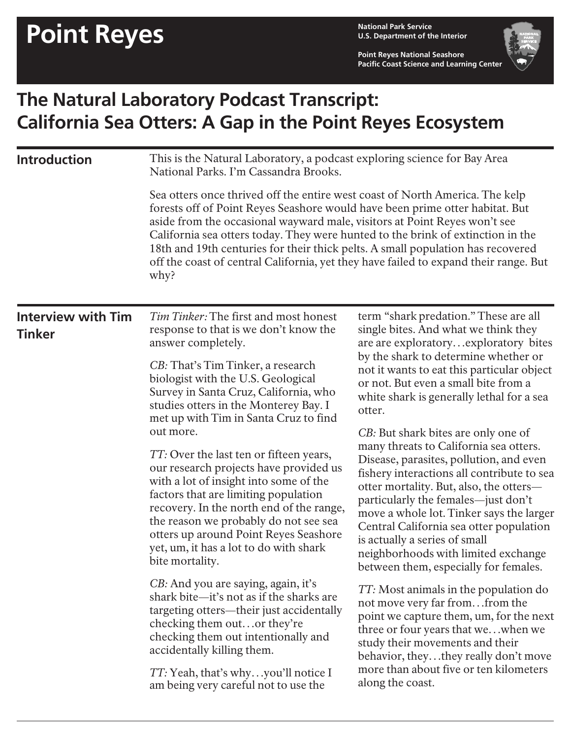**U.S. Department of the Interior**

**Point Reyes National Seashore Pacific Coast Science and Learning Center**



## **The Natural Laboratory Podcast Transcript: California Sea Otters: A Gap in the Point Reyes Ecosystem**

| National Parks. I'm Cassandra Brooks.                                                                                                                                                                                                                                                                                                                                                                                                                                                                           | This is the Natural Laboratory, a podcast exploring science for Bay Area                                                                                                                                                                                                                                                                                                                                                                                         |  |
|-----------------------------------------------------------------------------------------------------------------------------------------------------------------------------------------------------------------------------------------------------------------------------------------------------------------------------------------------------------------------------------------------------------------------------------------------------------------------------------------------------------------|------------------------------------------------------------------------------------------------------------------------------------------------------------------------------------------------------------------------------------------------------------------------------------------------------------------------------------------------------------------------------------------------------------------------------------------------------------------|--|
| Sea otters once thrived off the entire west coast of North America. The kelp<br>forests off of Point Reyes Seashore would have been prime otter habitat. But<br>aside from the occasional wayward male, visitors at Point Reyes won't see<br>California sea otters today. They were hunted to the brink of extinction in the<br>18th and 19th centuries for their thick pelts. A small population has recovered<br>off the coast of central California, yet they have failed to expand their range. But<br>why? |                                                                                                                                                                                                                                                                                                                                                                                                                                                                  |  |
| <b>Interview with Tim</b><br><i>Tim Tinker:</i> The first and most honest<br>response to that is we don't know the<br><b>Tinker</b><br>answer completely.                                                                                                                                                                                                                                                                                                                                                       | term "shark predation." These are all<br>single bites. And what we think they<br>are are exploratoryexploratory bites                                                                                                                                                                                                                                                                                                                                            |  |
| CB: That's Tim Tinker, a research<br>biologist with the U.S. Geological<br>Survey in Santa Cruz, California, who<br>studies otters in the Monterey Bay. I                                                                                                                                                                                                                                                                                                                                                       | by the shark to determine whether or<br>not it wants to eat this particular object<br>or not. But even a small bite from a<br>white shark is generally lethal for a sea<br>otter.                                                                                                                                                                                                                                                                                |  |
| out more.<br>TT: Over the last ten or fifteen years,<br>our research projects have provided us<br>with a lot of insight into some of the<br>factors that are limiting population<br>recovery. In the north end of the range,<br>the reason we probably do not see sea<br>otters up around Point Reyes Seashore<br>yet, um, it has a lot to do with shark<br>bite mortality.                                                                                                                                     | CB: But shark bites are only one of<br>many threats to California sea otters.<br>Disease, parasites, pollution, and even<br>fishery interactions all contribute to sea<br>otter mortality. But, also, the otters-<br>particularly the females-just don't<br>move a whole lot. Tinker says the larger<br>Central California sea otter population<br>is actually a series of small<br>neighborhoods with limited exchange<br>between them, especially for females. |  |
| CB: And you are saying, again, it's<br>shark bite—it's not as if the sharks are<br>targeting otters—their just accidentally<br>checking them outor they're<br>checking them out intentionally and<br>accidentally killing them.<br><i>TT</i> : Yeah, that's whyyou'll notice I                                                                                                                                                                                                                                  | TT: Most animals in the population do<br>not move very far fromfrom the<br>point we capture them, um, for the next<br>three or four years that wewhen we<br>study their movements and their<br>behavior, theythey really don't move<br>more than about five or ten kilometers<br>along the coast.                                                                                                                                                                |  |
|                                                                                                                                                                                                                                                                                                                                                                                                                                                                                                                 | met up with Tim in Santa Cruz to find<br>am being very careful not to use the                                                                                                                                                                                                                                                                                                                                                                                    |  |